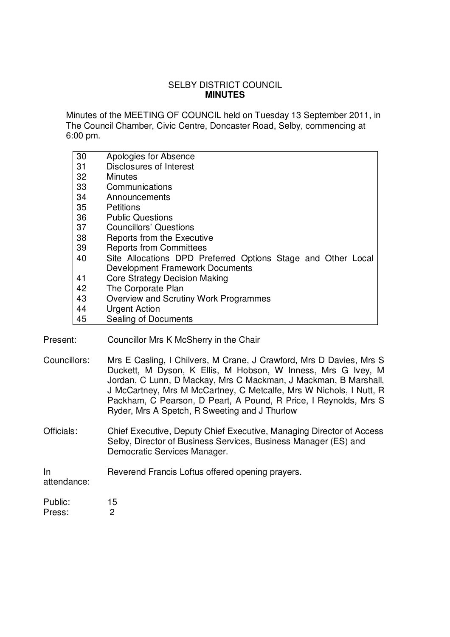# SELBY DISTRICT COUNCIL **MINUTES**

Minutes of the MEETING OF COUNCIL held on Tuesday 13 September 2011, in The Council Chamber, Civic Centre, Doncaster Road, Selby, commencing at 6:00 pm.

| 30 | Apologies for Absence                                        |
|----|--------------------------------------------------------------|
| 31 | <b>Disclosures of Interest</b>                               |
| 32 | Minutes                                                      |
| 33 | Communications                                               |
| 34 | Announcements                                                |
| 35 | <b>Petitions</b>                                             |
| 36 | <b>Public Questions</b>                                      |
| 37 | <b>Councillors' Questions</b>                                |
| 38 | Reports from the Executive                                   |
| 39 | <b>Reports from Committees</b>                               |
| 40 | Site Allocations DPD Preferred Options Stage and Other Local |
|    | <b>Development Framework Documents</b>                       |
| 41 | <b>Core Strategy Decision Making</b>                         |
| 42 | The Corporate Plan                                           |
| 43 | Overview and Scrutiny Work Programmes                        |
| 44 | <b>Urgent Action</b>                                         |
| 45 | Sealing of Documents                                         |

- Present: Councillor Mrs K McSherry in the Chair
- Councillors: Mrs E Casling, I Chilvers, M Crane, J Crawford, Mrs D Davies, Mrs S Duckett, M Dyson, K Ellis, M Hobson, W Inness, Mrs G Ivey, M Jordan, C Lunn, D Mackay, Mrs C Mackman, J Mackman, B Marshall, J McCartney, Mrs M McCartney, C Metcalfe, Mrs W Nichols, I Nutt, R Packham, C Pearson, D Peart, A Pound, R Price, I Reynolds, Mrs S Ryder, Mrs A Spetch, R Sweeting and J Thurlow
- Officials: Chief Executive, Deputy Chief Executive, Managing Director of Access Selby, Director of Business Services, Business Manager (ES) and Democratic Services Manager.

#### In Reverend Francis Loftus offered opening prayers.

attendance:

Public: 15 Press: 2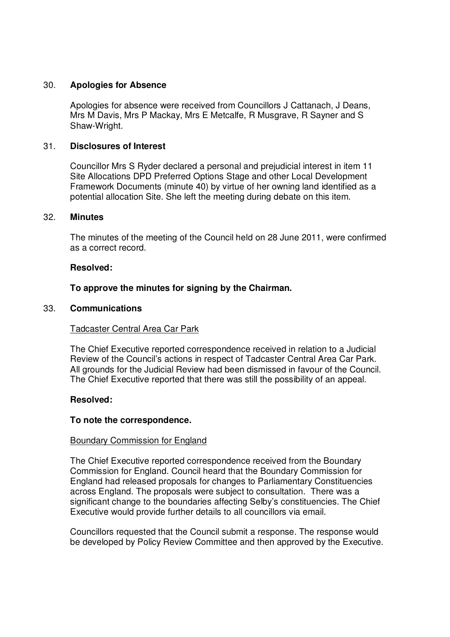## 30. **Apologies for Absence**

Apologies for absence were received from Councillors J Cattanach, J Deans, Mrs M Davis, Mrs P Mackay, Mrs E Metcalfe, R Musgrave, R Sayner and S Shaw-Wright.

## 31. **Disclosures of Interest**

Councillor Mrs S Ryder declared a personal and prejudicial interest in item 11 Site Allocations DPD Preferred Options Stage and other Local Development Framework Documents (minute 40) by virtue of her owning land identified as a potential allocation Site. She left the meeting during debate on this item.

### 32. **Minutes**

The minutes of the meeting of the Council held on 28 June 2011, were confirmed as a correct record.

#### **Resolved:**

## **To approve the minutes for signing by the Chairman.**

#### 33. **Communications**

### Tadcaster Central Area Car Park

The Chief Executive reported correspondence received in relation to a Judicial Review of the Council's actions in respect of Tadcaster Central Area Car Park. All grounds for the Judicial Review had been dismissed in favour of the Council. The Chief Executive reported that there was still the possibility of an appeal.

### **Resolved:**

### **To note the correspondence.**

### Boundary Commission for England

The Chief Executive reported correspondence received from the Boundary Commission for England. Council heard that the Boundary Commission for England had released proposals for changes to Parliamentary Constituencies across England. The proposals were subject to consultation. There was a significant change to the boundaries affecting Selby's constituencies. The Chief Executive would provide further details to all councillors via email.

Councillors requested that the Council submit a response. The response would be developed by Policy Review Committee and then approved by the Executive.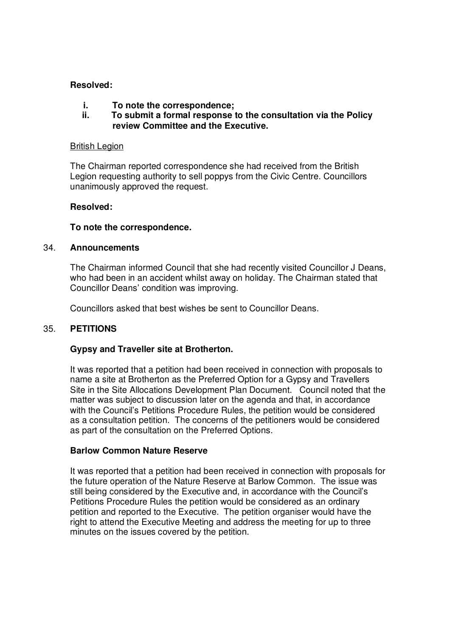## **Resolved:**

- **i. To note the correspondence;**
- **ii. To submit a formal response to the consultation via the Policy review Committee and the Executive.**

#### British Legion

The Chairman reported correspondence she had received from the British Legion requesting authority to sell poppys from the Civic Centre. Councillors unanimously approved the request.

### **Resolved:**

## **To note the correspondence.**

### 34. **Announcements**

The Chairman informed Council that she had recently visited Councillor J Deans, who had been in an accident whilst away on holiday. The Chairman stated that Councillor Deans' condition was improving.

Councillors asked that best wishes be sent to Councillor Deans.

# 35. **PETITIONS**

### **Gypsy and Traveller site at Brotherton.**

It was reported that a petition had been received in connection with proposals to name a site at Brotherton as the Preferred Option for a Gypsy and Travellers Site in the Site Allocations Development Plan Document. Council noted that the matter was subject to discussion later on the agenda and that, in accordance with the Council's Petitions Procedure Rules, the petition would be considered as a consultation petition. The concerns of the petitioners would be considered as part of the consultation on the Preferred Options.

### **Barlow Common Nature Reserve**

It was reported that a petition had been received in connection with proposals for the future operation of the Nature Reserve at Barlow Common. The issue was still being considered by the Executive and, in accordance with the Council's Petitions Procedure Rules the petition would be considered as an ordinary petition and reported to the Executive. The petition organiser would have the right to attend the Executive Meeting and address the meeting for up to three minutes on the issues covered by the petition.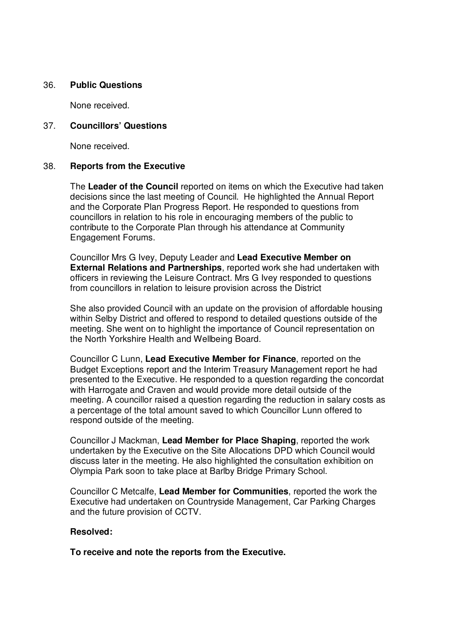### 36. **Public Questions**

None received.

## 37. **Councillors' Questions**

None received.

## 38. **Reports from the Executive**

The **Leader of the Council** reported on items on which the Executive had taken decisions since the last meeting of Council. He highlighted the Annual Report and the Corporate Plan Progress Report. He responded to questions from councillors in relation to his role in encouraging members of the public to contribute to the Corporate Plan through his attendance at Community Engagement Forums.

Councillor Mrs G Ivey, Deputy Leader and **Lead Executive Member on External Relations and Partnerships**, reported work she had undertaken with officers in reviewing the Leisure Contract. Mrs G Ivey responded to questions from councillors in relation to leisure provision across the District

She also provided Council with an update on the provision of affordable housing within Selby District and offered to respond to detailed questions outside of the meeting. She went on to highlight the importance of Council representation on the North Yorkshire Health and Wellbeing Board.

Councillor C Lunn, **Lead Executive Member for Finance**, reported on the Budget Exceptions report and the Interim Treasury Management report he had presented to the Executive. He responded to a question regarding the concordat with Harrogate and Craven and would provide more detail outside of the meeting. A councillor raised a question regarding the reduction in salary costs as a percentage of the total amount saved to which Councillor Lunn offered to respond outside of the meeting.

Councillor J Mackman, **Lead Member for Place Shaping**, reported the work undertaken by the Executive on the Site Allocations DPD which Council would discuss later in the meeting. He also highlighted the consultation exhibition on Olympia Park soon to take place at Barlby Bridge Primary School.

Councillor C Metcalfe, **Lead Member for Communities**, reported the work the Executive had undertaken on Countryside Management, Car Parking Charges and the future provision of CCTV.

### **Resolved:**

**To receive and note the reports from the Executive.**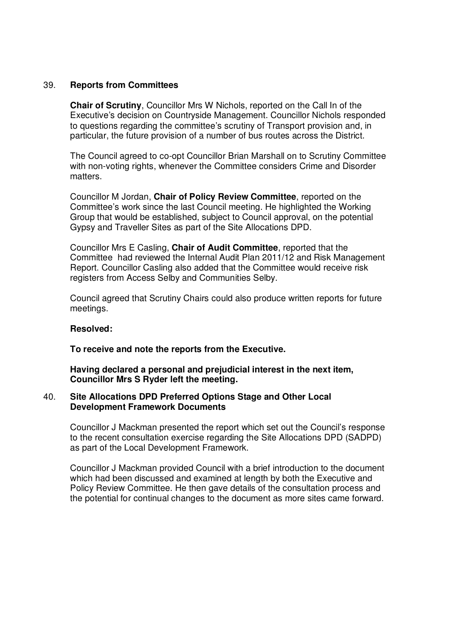## 39. **Reports from Committees**

**Chair of Scrutiny**, Councillor Mrs W Nichols, reported on the Call In of the Executive's decision on Countryside Management. Councillor Nichols responded to questions regarding the committee's scrutiny of Transport provision and, in particular, the future provision of a number of bus routes across the District.

The Council agreed to co-opt Councillor Brian Marshall on to Scrutiny Committee with non-voting rights, whenever the Committee considers Crime and Disorder matters.

Councillor M Jordan, **Chair of Policy Review Committee**, reported on the Committee's work since the last Council meeting. He highlighted the Working Group that would be established, subject to Council approval, on the potential Gypsy and Traveller Sites as part of the Site Allocations DPD.

Councillor Mrs E Casling, **Chair of Audit Committee**, reported that the Committee had reviewed the Internal Audit Plan 2011/12 and Risk Management Report. Councillor Casling also added that the Committee would receive risk registers from Access Selby and Communities Selby.

Council agreed that Scrutiny Chairs could also produce written reports for future meetings.

### **Resolved:**

**To receive and note the reports from the Executive.**

**Having declared a personal and prejudicial interest in the next item, Councillor Mrs S Ryder left the meeting.**

### 40. **Site Allocations DPD Preferred Options Stage and Other Local Development Framework Documents**

Councillor J Mackman presented the report which set out the Council's response to the recent consultation exercise regarding the Site Allocations DPD (SADPD) as part of the Local Development Framework.

Councillor J Mackman provided Council with a brief introduction to the document which had been discussed and examined at length by both the Executive and Policy Review Committee. He then gave details of the consultation process and the potential for continual changes to the document as more sites came forward.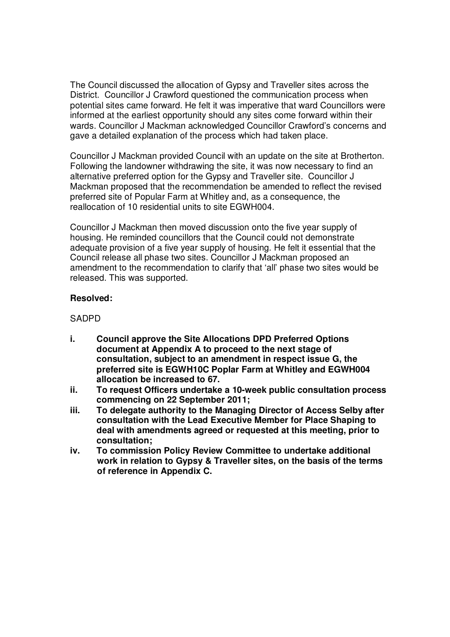The Council discussed the allocation of Gypsy and Traveller sites across the District. Councillor J Crawford questioned the communication process when potential sites came forward. He felt it was imperative that ward Councillors were informed at the earliest opportunity should any sites come forward within their wards. Councillor J Mackman acknowledged Councillor Crawford's concerns and gave a detailed explanation of the process which had taken place.

Councillor J Mackman provided Council with an update on the site at Brotherton. Following the landowner withdrawing the site, it was now necessary to find an alternative preferred option for the Gypsy and Traveller site. Councillor J Mackman proposed that the recommendation be amended to reflect the revised preferred site of Popular Farm at Whitley and, as a consequence, the reallocation of 10 residential units to site EGWH004.

Councillor J Mackman then moved discussion onto the five year supply of housing. He reminded councillors that the Council could not demonstrate adequate provision of a five year supply of housing. He felt it essential that the Council release all phase two sites. Councillor J Mackman proposed an amendment to the recommendation to clarify that 'all' phase two sites would be released. This was supported.

## **Resolved:**

# **SADPD**

- **i. Council approve the Site Allocations DPD Preferred Options document at Appendix A to proceed to the next stage of consultation, subject to an amendment in respect issue G, the preferred site is EGWH10C Poplar Farm at Whitley and EGWH004 allocation be increased to 67.**
- **ii. To request Officers undertake a 10-week public consultation process commencing on 22 September 2011;**
- **iii. To delegate authority to the Managing Director of Access Selby after consultation with the Lead Executive Member for Place Shaping to deal with amendments agreed or requested at this meeting, prior to consultation;**
- **iv. To commission Policy Review Committee to undertake additional work in relation to Gypsy & Traveller sites, on the basis of the terms of reference in Appendix C.**